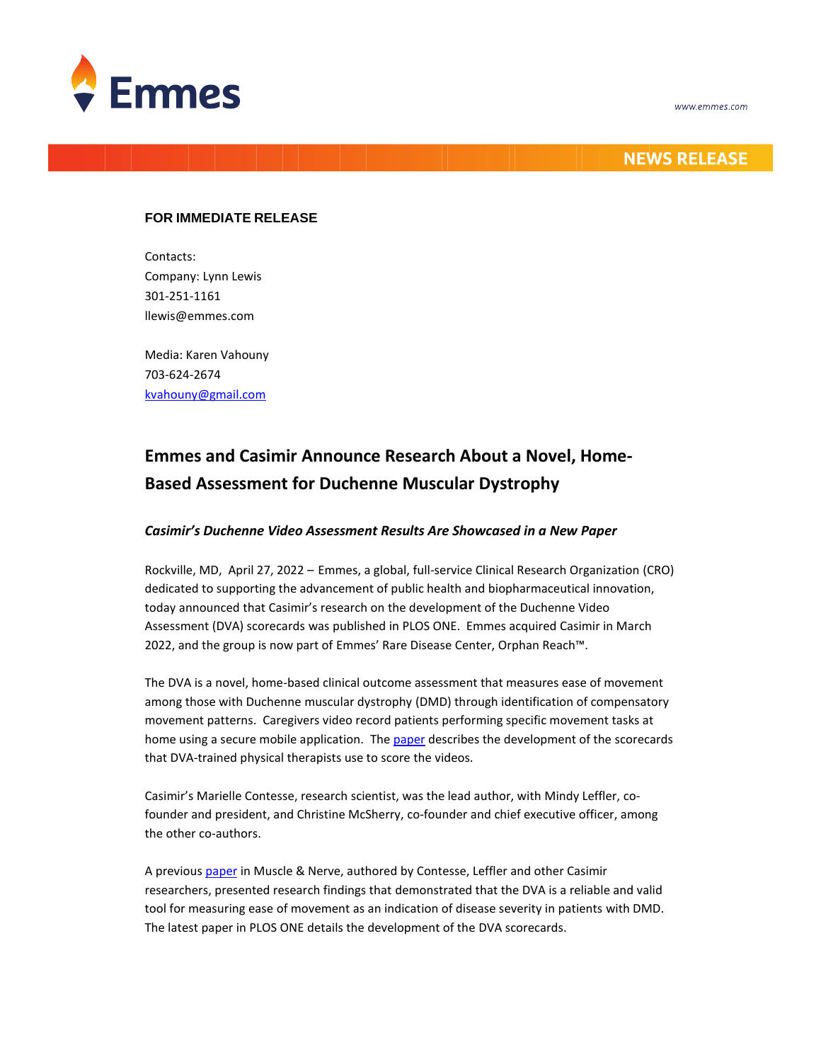



## **NEWS RELEASE**

## **FOR IMMEDIATE RELEASE**

Contacts: Company: Lynn Lewis 301-251-1161 llewis@emmes.com

Media: Karen Vahouny 703-624-2674 [kvahouny@gmail.com](mailto:kvahouny@gmail.com)

# **Emmes and Casimir Announce Research About a Novel, Home-Based Assessment for Duchenne Muscular Dystrophy**

## *Casimir's Duchenne Video Assessment Results Are Showcased in a New Paper*

Rockville, MD, April 27, 2022 – Emmes, a global, full-service Clinical Research Organization (CRO) dedicated to supporting the advancement of public health and biopharmaceutical innovation, today announced that Casimir's research on the development of the Duchenne Video Assessment (DVA) scorecards was published in PLOS ONE. Emmes acquired Casimir in March 2022, and the group is now part of Emmes' Rare Disease Center, Orphan Reach™.

The DVA is a novel, home-based clinical outcome assessment that measures ease of movement among those with Duchenne muscular dystrophy (DMD) through identification of compensatory movement patterns. Caregivers video record patients performing specific movement tasks at home using a secure mobile application. Th[e paper](https://journals.plos.org/plosone/article?id=10.1371/journal.pone.0266845) describes the development of the scorecards that DVA-trained physical therapists use to score the videos.

Casimir's Marielle Contesse, research scientist, was the lead author, with Mindy Leffler, cofounder and president, and Christine McSherry, co-founder and chief executive officer, among the other co-authors.

A previous [paper](https://pubmed.ncbi.nlm.nih.gov/34050939/) in Muscle & Nerve, authored by Contesse, Leffler and other Casimir researchers, presented research findings that demonstrated that the DVA is a reliable and valid tool for measuring ease of movement as an indication of disease severity in patients with DMD. The latest paper in PLOS ONE details the development of the DVA scorecards.